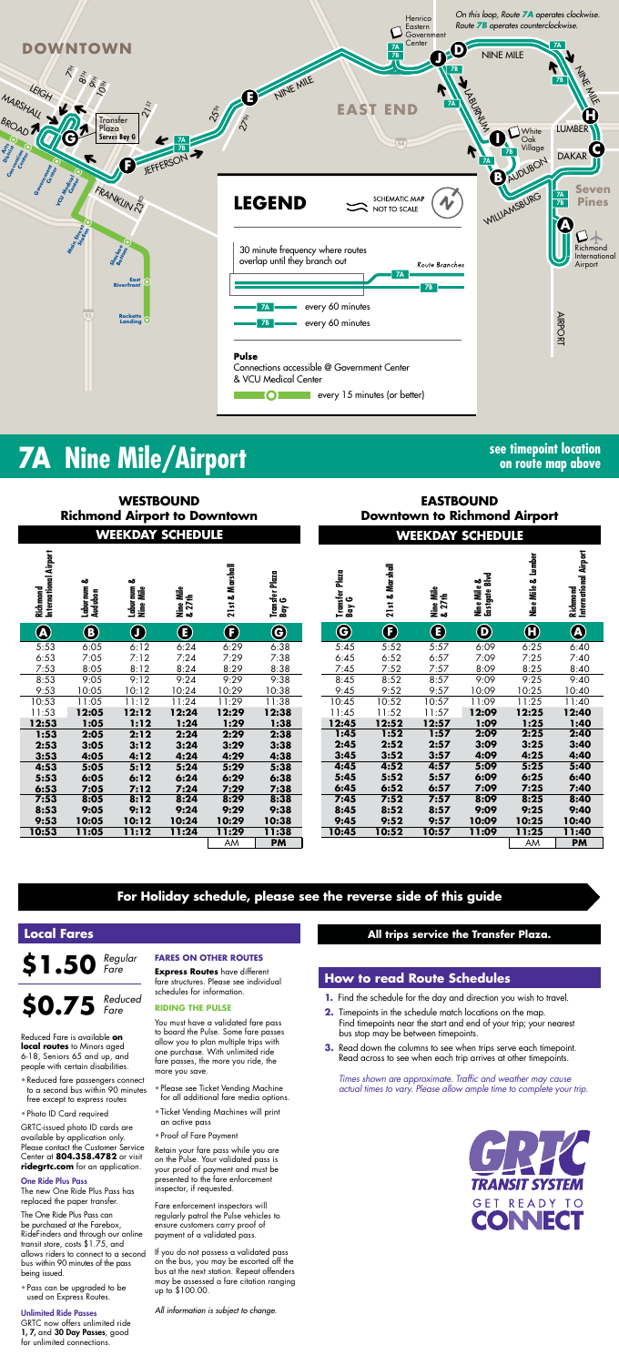

## **7A** Nine Mile/Airport **See timepoint location**

**on route map above**

*Times shown are approximate. Traffic and weather may cause actual times to vary. Please allow ample time to complete your trip.*



#### \$1.50 *Regular Fare*

|                                   |                            | <b>WESTBOUND</b><br><b>Richmond Airport to Downtown</b> |                     |                 |                         | <b>EASTBOUND</b><br><b>Downtown to Richmond Airport</b> |                 |                     |                              |                    |                                    |  |  |  |  |
|-----------------------------------|----------------------------|---------------------------------------------------------|---------------------|-----------------|-------------------------|---------------------------------------------------------|-----------------|---------------------|------------------------------|--------------------|------------------------------------|--|--|--|--|
|                                   |                            | <b>WEEKDAY SCHEDULE</b>                                 |                     |                 |                         | <b>WEEKDAY SCHEDULE</b>                                 |                 |                     |                              |                    |                                    |  |  |  |  |
| Richmond<br>International Airport | ఱ<br>Laburnum 4<br>Audubon | ఱ<br>Laburnum<br>Nine Mile                              | Nine Mile<br>& 27th | 21st & Marshall | Transfer Plaza<br>Bay G | Transfer Plaza<br>Bay G                                 | 21st & Marshall | Nine Mile<br>& 27th | Nine Mile &<br>Eastgate Blvd | Nine Mile & Lumber | Richmond<br>International Airport  |  |  |  |  |
| $\bigcirc\hspace{-1.5ex}\bigcirc$ | $\bf 6$                    | $\bigcirc$                                              | $\bf \bf G$         | $\bigcirc$      | $\bf \Theta$            | $\bigcirc$                                              | $\bigoplus$     | $\bf \bm \Theta$    | $\bf \bm \Theta$             | $\bm \Theta$       | $\bigcirc\hspace{-1.45mm}\bigcirc$ |  |  |  |  |
| 5:53                              | 6:05                       | 6:12                                                    | 6:24                | 6:29            | 6:38                    | 5:45                                                    | 5:52            | 5:57                | 6:09                         | 6:25               | 6:40                               |  |  |  |  |
| 6:53                              | 7:05                       | 7:12                                                    | 7:24                | 7:29            | 7:38                    | 6:45                                                    | 6:52            | 6:57                | 7:09                         | 7:25               | 7:40                               |  |  |  |  |
| 7:53                              | 8:05                       | 8:12                                                    | 8:24                | 8:29            | 8:38                    | 7:45                                                    | 7:52            | 7:57                | 8:09                         | 8:25               | 8:40                               |  |  |  |  |
| 8:53                              | 9:05                       | 9:12                                                    | 9:24                | 9:29            | 9:38                    | 8:45                                                    | 8:52            | 8:57                | 9:09                         | 9:25               | 9:40                               |  |  |  |  |
| 9:53                              | 10:05                      | 10:12                                                   | 10:24               | 10:29           | 10:38                   | 9:45                                                    | 9:52            | 9:57                | 10:09                        | 10:25              | 10:40                              |  |  |  |  |
| 10:53                             | 11:05                      | 11:12                                                   | 11:24               | 11:29           | 11:38                   | 10:45                                                   | 10:52           | 10:57               | 11:09                        | 11:25              | 11:40                              |  |  |  |  |
| 11:53                             | 12:05                      | 12:12                                                   | 12:24               | 12:29           | 12:38                   | 11:45                                                   | 11:52           | 11:57               | 12:09                        | 12:25              | 12:40                              |  |  |  |  |
| 12:53                             | 1:05                       | 1:12                                                    | 1:24                | 1:29            | 1:38                    | 12:45                                                   | 12:52           | 12:57               | 1:09                         | 1:25               | 1:40                               |  |  |  |  |
| 1:53                              | 2:05                       | 2:12                                                    | 2:24                | 2:29            | 2:38                    | 1:45                                                    | 1:52            | 1:57                | 2:09                         | 2:25               | 2:40                               |  |  |  |  |
| 2:53                              | 3:05                       | 3:12                                                    | 3:24                | 3:29            | 3:38                    | 2:45                                                    | 2:52            | 2:57                | 3:09                         | 3:25               | 3:40                               |  |  |  |  |
| 3:53                              | 4:05                       | 4:12                                                    | 4:24                | 4:29            | 4:38                    | 3:45                                                    | 3:52            | 3:57                | 4:09                         | 4:25               | 4:40                               |  |  |  |  |
| 4:53                              | 5:05                       | 5:12                                                    | 5:24                | 5:29            | 5:38                    | 4:45                                                    | 4:52            | 4:57                | 5:09                         | 5:25               | 5:40                               |  |  |  |  |
| 5:53                              | 6:05                       | 6:12                                                    | 6:24                | 6:29            | 6:38                    | 5:45                                                    | 5:52            | 5:57                | 6:09<br>7:09                 | 6:25               | 6:40                               |  |  |  |  |
| 6:53<br>7:53                      | 7:05<br>8:05               | 7:12<br>8:12                                            | 7:24<br>8:24        | 7:29<br>8:29    | 7:38<br>8:38            | 6:45<br>7:45                                            | 6:52<br>7:52    | 6:57<br>7:57        | 8:09                         | 7:25<br>8:25       | 7:40<br>8:40                       |  |  |  |  |
| 8:53                              | 9:05                       | 9:12                                                    | 9:24                | 9:29            | 9:38                    | 8:45                                                    | 8:52            | 8:57                | 9:09                         | 9:25               | 9:40                               |  |  |  |  |
| 9:53                              | 10:05                      | 10:12                                                   | 10:24               | 10:29           | 10:38                   | 9:45                                                    | 9:52            | 9:57                | 10:09                        | 10:25              | 10:40                              |  |  |  |  |
| 10:53                             | 11:05                      | 11:12                                                   | 11:24               | 11:29           | 11:38                   | 10:45                                                   | 10:52           | 10:57               | 11:09                        | 11:25              | 11:40                              |  |  |  |  |
|                                   |                            |                                                         |                     | AM              | <b>PM</b>               |                                                         |                 |                     |                              | AM                 | <b>PM</b>                          |  |  |  |  |

#### **How to read Route Schedules**

- **1.** Find the schedule for the day and direction you wish to travel.
- **2.** Timepoints in the schedule match locations on the map. Find timepoints near the start and end of your trip; your nearest bus stop may be between timepoints.
- **3.** Read down the columns to see when trips serve each timepoint. Read across to see when each trip arrives at other timepoints.

#### **Local Fares**

Reduced Fare is available **on local routes** to Minors aged 6-18, Seniors 65 and up, and people with certain disabilities.

- Reduced fare passengers connect to a second bus within 90 minutes free except to express routes
- Photo ID Card required

GRTC-issued photo ID cards are available by application only. Please contact the Customer Service Center at **804.358.4782** or visit **ridegrtc.com** for an application.

#### One Ride Plus Pass

#### **\$0.75** *Reduced Fare*

The new One Ride Plus Pass has replaced the paper transfer.

The One Ride Plus Pass can be purchased at the Farebox, RideFinders and through our online transit store, costs \$1.75, and allows riders to connect to a second bus within 90 minutes of the pass being issued.

• Pass can be upgraded to be used on Express Routes.

#### Unlimited Ride Passes

GRTC now offers unlimited ride 1, 7, and 30 Day Passes, good for unlimited connections.

#### **FARES ON OTHER ROUTES**

**Express Routes** have different fare structures. Please see individual schedules for information.

#### **RIDING THE PULSE**

You must have a validated fare pass to board the Pulse. Some fare passes allow you to plan multiple trips with one purchase. With unlimited ride fare passes, the more you ride, the more you save.

- Please see Ticket Vending Machine for all additional fare media options.
- Ticket Vending Machines will print an active pass
- Proof of Fare Payment

Retain your fare pass while you are on the Pulse. Your validated pass is your proof of payment and must be presented to the fare enforcement inspector, if requested.

Fare enforcement inspectors will regularly patrol the Pulse vehicles to ensure customers carry proof of payment of a validated pass.

If you do not possess a validated pass on the bus, you may be escorted off the bus at the next station. Repeat offenders may be assessed a fare citation ranging up to \$100.00.

*All information is subject to change.*